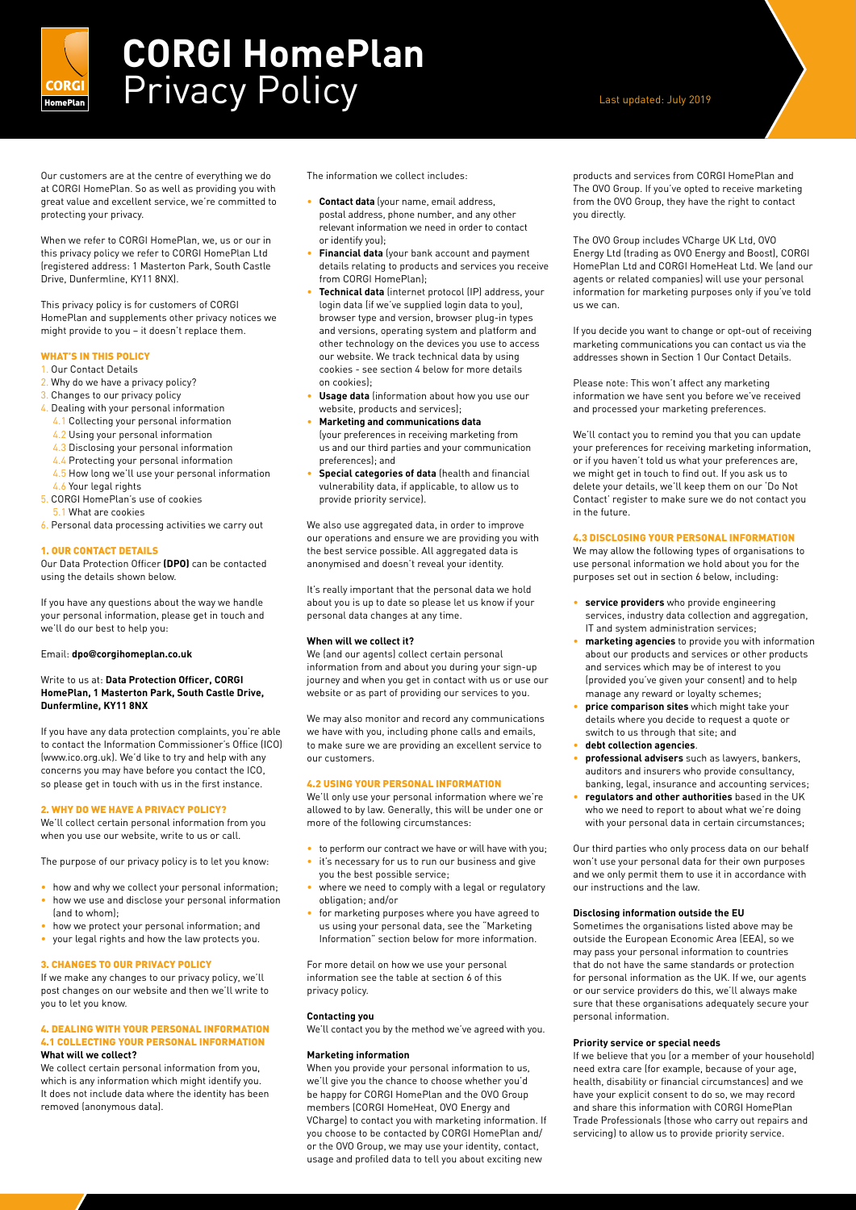

# **CORGI HomePlan CORGI Privacy Policy CORGI AND RESERVING A Last updated: July 2019**

Our customers are at the centre of everything we do at CORGI HomePlan. So as well as providing you with great value and excellent service, we're committed to protecting your privacy.

When we refer to CORGI HomePlan, we, us or our in this privacy policy we refer to CORGI HomePlan Ltd (registered address: 1 Masterton Park, South Castle Drive, Dunfermline, KY11 8NX).

This privacy policy is for customers of CORGI HomePlan and supplements other privacy notices we might provide to you – it doesn't replace them.

# WHAT'S IN THIS POLICY

#### 1. Our Contact Details

- 2. Why do we have a privacy policy?
- 3. Changes to our privacy policy
- 4. Dealing with your personal information
- 4.1 Collecting your personal information
- 4.2 Using your personal information
- 4.3 Disclosing your personal information
- 4.4 Protecting your personal information
- 4.5 How long we'll use your personal information
- 4.6 Your legal rights
- 5. CORGI HomePlan's use of cookies
- 1.1 What are cookies
- 6. Personal data processing activities we carry out

#### 1. OUR CONTACT DETAILS

Our Data Protection Officer **(DPO)** can be contacted using the details shown below.

If you have any questions about the way we handle your personal information, please get in touch and we'll do our best to help you:

# Email: **dpo@corgihomeplan.co.uk**

#### Write to us at: **Data Protection Officer, CORGI HomePlan, 1 Masterton Park, South Castle Drive, Dunfermline, KY11 8NX**

If you have any data protection complaints, you're able to contact the Information Commissioner's Office (ICO) (www.ico.org.uk). We'd like to try and help with any concerns you may have before you contact the ICO, so please get in touch with us in the first instance.

### 2. WHY DO WE HAVE A PRIVACY POLICY?

We'll collect certain personal information from you when you use our website, write to us or call.

The purpose of our privacy policy is to let you know:

- how and why we collect your personal information; • how we use and disclose your personal information
- (and to whom);
- how we protect your personal information; and
- your legal rights and how the law protects you.

# 3. CHANGES TO OUR PRIVACY POLICY

If we make any changes to our privacy policy, we'll post changes on our website and then we'll write to you to let you know.

#### 4. DEALING WITH YOUR PERSONAL INFORMATION 4.1 COLLECTING YOUR PERSONAL INFORMATION **What will we collect?**

We collect certain personal information from you, which is any information which might identify you. It does not include data where the identity has been removed (anonymous data).

The information we collect includes:

- **Contact data** (your name, email address, postal address, phone number, and any other relevant information we need in order to contact or identify you);
- **Financial data** (your bank account and payment details relating to products and services you receive from CORGI HomePlan);
- **Technical data** (internet protocol (IP) address, your login data (if we've supplied login data to you), browser type and version, browser plug-in types and versions, operating system and platform and other technology on the devices you use to access our website. We track technical data by using cookies - see section 4 below for more details on cookies);
- **Usage data** (information about how you use our website, products and services);
- **Marketing and communications data** (your preferences in receiving marketing from us and our third parties and your communication preferences); and
- **Special categories of data** (health and financial vulnerability data, if applicable, to allow us to provide priority service).

We also use aggregated data, in order to improve our operations and ensure we are providing you with the best service possible. All aggregated data is anonymised and doesn't reveal your identity.

It's really important that the personal data we hold about you is up to date so please let us know if your personal data changes at any time.

# **When will we collect it?**

We (and our agents) collect certain personal information from and about you during your sign-up journey and when you get in contact with us or use our website or as part of providing our services to you.

We may also monitor and record any communications we have with you, including phone calls and emails, to make sure we are providing an excellent service to our customers.

#### 4.2 USING YOUR PERSONAL INFORMATION

We'll only use your personal information where we're allowed to by law. Generally, this will be under one or more of the following circumstances:

- to perform our contract we have or will have with you;
- it's necessary for us to run our business and give you the best possible service;
- where we need to comply with a legal or regulatory obligation; and/or
- for marketing purposes where you have agreed to us using your personal data, see the "Marketing Information" section below for more information.

For more detail on how we use your personal information see the table at section 6 of this privacy policy.

#### **Contacting you**

We'll contact you by the method we've agreed with you.

### **Marketing information**

When you provide your personal information to us, we'll give you the chance to choose whether you'd be happy for CORGI HomePlan and the OVO Group members (CORGI HomeHeat, OVO Energy and VCharge) to contact you with marketing information. If you choose to be contacted by CORGI HomePlan and/ or the OVO Group, we may use your identity, contact, usage and profiled data to tell you about exciting new

products and services from CORGI HomePlan and The OVO Group. If you've opted to receive marketing from the OVO Group, they have the right to contact you directly.

The OVO Group includes VCharge UK Ltd, OVO Energy Ltd (trading as OVO Energy and Boost), CORGI HomePlan Ltd and CORGI HomeHeat Ltd. We (and our agents or related companies) will use your personal information for marketing purposes only if you've told us we can.

If you decide you want to change or opt-out of receiving marketing communications you can contact us via the addresses shown in Section 1 Our Contact Details.

Please note: This won't affect any marketing information we have sent you before we've received and processed your marketing preferences.

We'll contact you to remind you that you can update your preferences for receiving marketing information, or if you haven't told us what your preferences are, we might get in touch to find out. If you ask us to delete your details, we'll keep them on our 'Do Not Contact' register to make sure we do not contact you in the future.

### 4.3 DISCLOSING YOUR PERSONAL INFORMATION

We may allow the following types of organisations to use personal information we hold about you for the purposes set out in section 6 below, including:

- **service providers** who provide engineering services, industry data collection and aggregation, IT and system administration services;
- **marketing agencies** to provide you with information about our products and services or other products and services which may be of interest to you (provided you've given your consent) and to help manage any reward or loyalty schemes;
- **price comparison sites** which might take your details where you decide to request a quote or switch to us through that site; and
- **debt collection agencies**.
- **professional advisers** such as lawyers, bankers, auditors and insurers who provide consultancy, banking, legal, insurance and accounting services;
- **regulators and other authorities** based in the UK who we need to report to about what we're doing with your personal data in certain circumstances;

Our third parties who only process data on our behalf won't use your personal data for their own purposes and we only permit them to use it in accordance with our instructions and the law.

# **Disclosing information outside the EU**

Sometimes the organisations listed above may be outside the European Economic Area (EEA), so we may pass your personal information to countries that do not have the same standards or protection for personal information as the UK. If we, our agents or our service providers do this, we'll always make sure that these organisations adequately secure your personal information.

#### **Priority service or special needs**

If we believe that you (or a member of your household) need extra care (for example, because of your age, health, disability or financial circumstances) and we have your explicit consent to do so, we may record and share this information with CORGI HomePlan Trade Professionals (those who carry out repairs and servicing) to allow us to provide priority service.